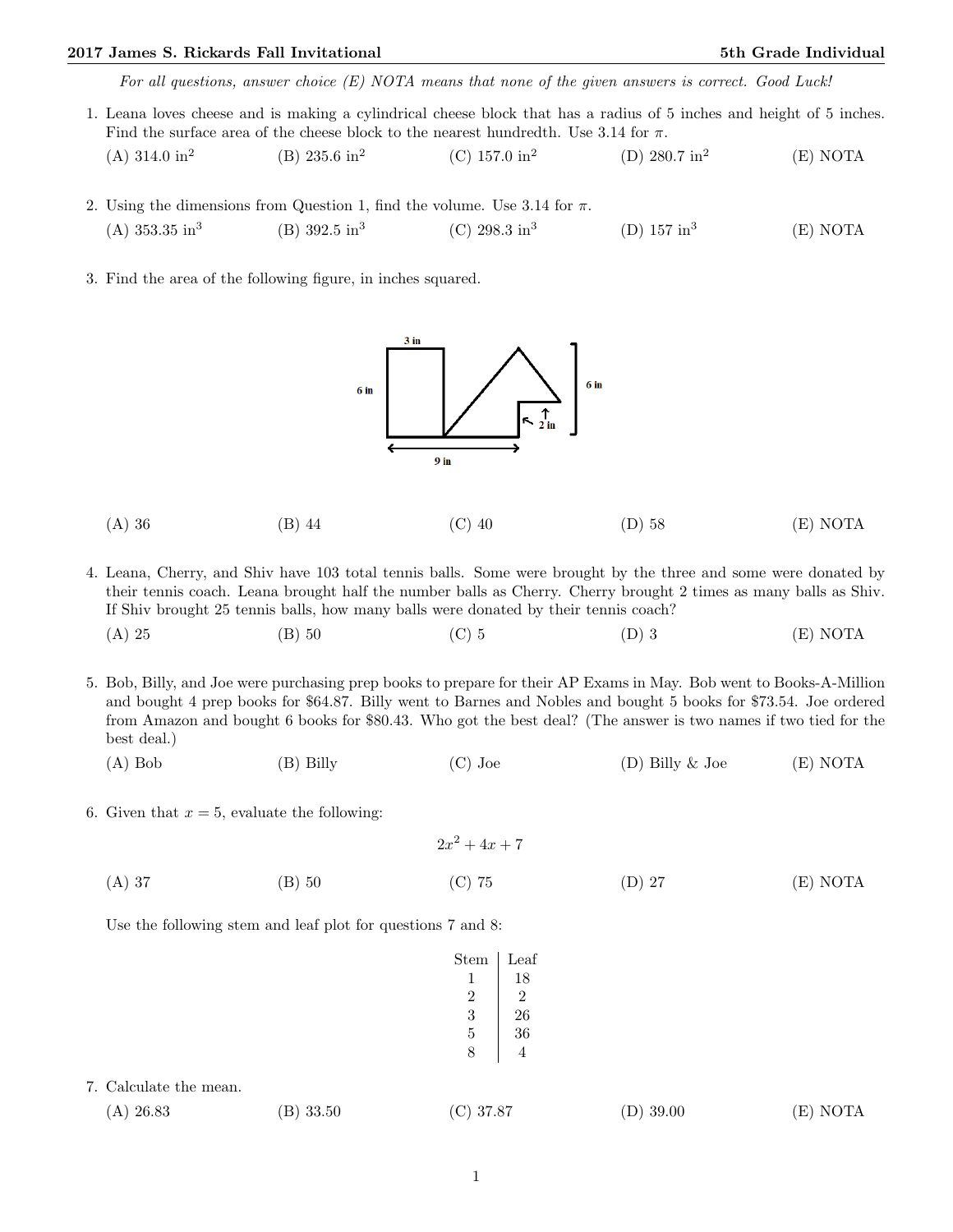## 2017 James S. Rickards Fall Invitational 5th Grade Individual 5th Grade Individual

For all questions, answer choice (E) NOTA means that none of the given answers is correct. Good Luck!

- 1. Leana loves cheese and is making a cylindrical cheese block that has a radius of 5 inches and height of 5 inches. Find the surface area of the cheese block to the nearest hundredth. Use 3.14 for  $\pi$ .  $(A)$  314.0 in<sup>2</sup> (B) 235.6 in<sup>2</sup> (C) 157.0 in<sup>2</sup> (D) 280.7 in<sup>2</sup> (E) NOTA
- 2. Using the dimensions from Question 1, find the volume. Use 3.14 for  $\pi$ .  $(A)$  353.35 in<sup>3</sup>  $(B)$  392.5 in<sup>3</sup> (C)  $298.3 \text{ in}^3$ (D)  $157 \text{ in}^3$ (E) NOTA
- 3. Find the area of the following figure, in inches squared.

 $3$  in  $6$  in  $6<sub>in</sub>$  $9$  in

- (A) 36 (B) 44 (C) 40 (D) 58 (E) NOTA
- 4. Leana, Cherry, and Shiv have 103 total tennis balls. Some were brought by the three and some were donated by their tennis coach. Leana brought half the number balls as Cherry. Cherry brought 2 times as many balls as Shiv. If Shiv brought 25 tennis balls, how many balls were donated by their tennis coach?
	- (A) 25 (B) 50 (C) 5 (D) 3 (E) NOTA
- 5. Bob, Billy, and Joe were purchasing prep books to prepare for their AP Exams in May. Bob went to Books-A-Million and bought 4 prep books for \$64.87. Billy went to Barnes and Nobles and bought 5 books for \$73.54. Joe ordered from Amazon and bought 6 books for \$80.43. Who got the best deal? (The answer is two names if two tied for the best deal.)
	- (A) Bob (B) Billy (C) Joe (D) Billy & Joe (E) NOTA
- 6. Given that  $x = 5$ , evaluate the following:

|          |          | $2x^2+4x+7$ |          |          |
|----------|----------|-------------|----------|----------|
| $(A)$ 37 | $(B)$ 50 | $(C)$ 75    | $(D)$ 27 | (E) NOTA |

Use the following stem and leaf plot for questions 7 and 8:

| $_{\rm Stem}$             | $_{\text{Leaf}}$ |
|---------------------------|------------------|
| 1                         | 18               |
| 2                         | 2                |
| 3                         | 26               |
| 5                         | 36               |
| $\boldsymbol{\mathsf{R}}$ | 4                |
|                           |                  |

| 7. Calculate the mean. |
|------------------------|
|------------------------|

| $(A)$ 26.83 | (B) 33.50 | $(C)$ 37.87 | $(D)$ 39.00 | (E) NOTA |
|-------------|-----------|-------------|-------------|----------|
|-------------|-----------|-------------|-------------|----------|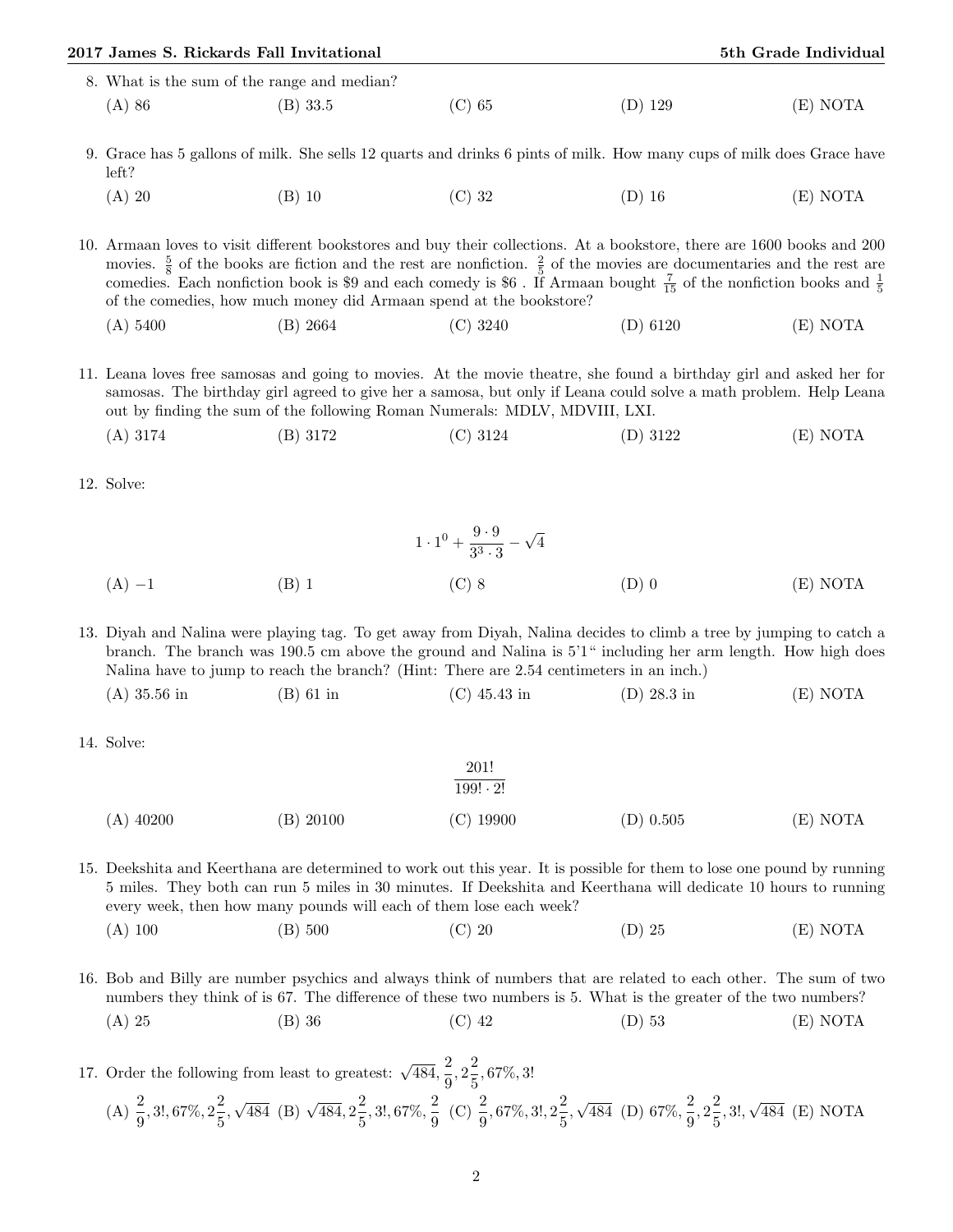| 2017 James S. Rickards Fall Invitational    |            |          |           | 5th Grade Individual |  |  |
|---------------------------------------------|------------|----------|-----------|----------------------|--|--|
| 8. What is the sum of the range and median? |            |          |           |                      |  |  |
| (A) 86                                      | $(B)$ 33.5 | $(C)$ 65 | $(D)$ 129 | (E) NOTA             |  |  |

9. Grace has 5 gallons of milk. She sells 12 quarts and drinks 6 pints of milk. How many cups of milk does Grace have left?

(A) 20 (B) 10 (C) 32 (D) 16 (E) NOTA

10. Armaan loves to visit different bookstores and buy their collections. At a bookstore, there are 1600 books and 200 movies.  $\frac{5}{8}$  of the books are fiction and the rest are nonfiction.  $\frac{2}{5}$  of the movies are documentaries and the rest are comedies. Each nonfiction book is \$9 and each comedy is \$6. If Armaan bought  $\frac{7}{15}$  of the nonfiction books and  $\frac{1}{5}$ of the comedies, how much money did Armaan spend at the bookstore?

(A) 5400 (B) 2664 (C) 3240 (D) 6120 (E) NOTA

11. Leana loves free samosas and going to movies. At the movie theatre, she found a birthday girl and asked her for samosas. The birthday girl agreed to give her a samosa, but only if Leana could solve a math problem. Help Leana out by finding the sum of the following Roman Numerals: MDLV, MDVIII, LXI.

- (A) 3174 (B) 3172 (C) 3124 (D) 3122 (E) NOTA
- 12. Solve:

$$
1 \cdot 1^{0} + \frac{9 \cdot 9}{3^{3} \cdot 3} - \sqrt{4}
$$
  
(A) -1  
(B) 1  
(C) 8  
(D) 0  
(E) NOTA

13. Diyah and Nalina were playing tag. To get away from Diyah, Nalina decides to climb a tree by jumping to catch a branch. The branch was 190.5 cm above the ground and Nalina is 5'1" including her arm length. How high does Nalina have to jump to reach the branch? (Hint: There are 2.54 centimeters in an inch.)

- (A) 35.56 in (B) 61 in (C) 45.43 in (D) 28.3 in (E) NOTA
- 14. Solve:

$$
\frac{201!}{199! \cdot 2!}
$$
\n(A) 40200 \t\t (B) 20100 \t\t (C) 19900 \t\t (D) 0.505 \t\t (E) NOTA

15. Deekshita and Keerthana are determined to work out this year. It is possible for them to lose one pound by running 5 miles. They both can run 5 miles in 30 minutes. If Deekshita and Keerthana will dedicate 10 hours to running every week, then how many pounds will each of them lose each week?

(A) 100 (B) 500 (C) 20 (D) 25 (E) NOTA

16. Bob and Billy are number psychics and always think of numbers that are related to each other. The sum of two numbers they think of is 67. The difference of these two numbers is 5. What is the greater of the two numbers? (A) 25 (B) 36 (C) 42 (D) 53 (E) NOTA

17. Order the following from least to greatest:  $\sqrt{484}$ ,  $\frac{2}{9}$  $\frac{2}{9}, 2\frac{2}{5}$  $\frac{2}{5}$ , 67%, 3! (A)  $\frac{2}{9}$ , 3!, 67%,  $2\frac{2}{5}$  $\frac{1}{5}$  $\sqrt{484}$  (B)  $\sqrt{484}$ ,  $2\frac{2}{5}$  $\frac{2}{5}$ , 3!, 67%,  $\frac{2}{9}$  $\frac{2}{9}$  (C)  $\frac{2}{9}$ , 67%, 3!, 2 $\frac{2}{5}$  $\frac{1}{5}$ √  $\overline{484}$  (D) 67%,  $\frac{2}{9}$  $\frac{2}{9}, 2\frac{2}{5}$  $\frac{1}{5}$ , 3!, √ 484 (E) NOTA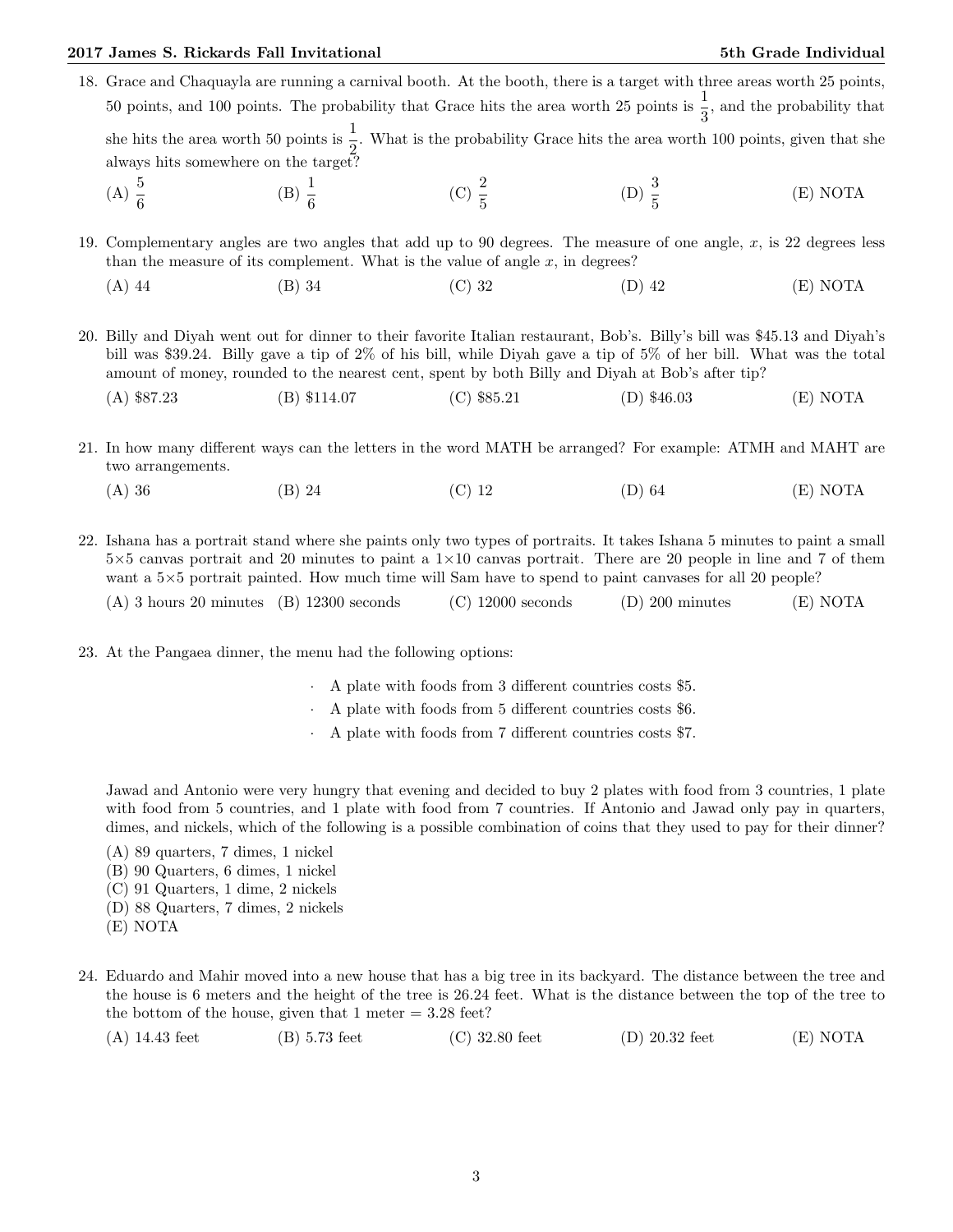## 2017 James S. Rickards Fall Invitational 5th Grade Individual 5th Grade Individual

- 18. Grace and Chaquayla are running a carnival booth. At the booth, there is a target with three areas worth 25 points, 50 points, and 100 points. The probability that Grace hits the area worth 25 points is  $\frac{1}{3}$ , and the probability that she hits the area worth 50 points is  $\frac{1}{2}$ . What is the probability Grace hits the area worth 100 points, given that she always hits somewhere on the target?
	- (A)  $\frac{5}{6}$ (B)  $\frac{1}{6}$ (C)  $\frac{2}{5}$ (D)  $\frac{3}{5}$ (E) NOTA

19. Complementary angles are two angles that add up to 90 degrees. The measure of one angle, x, is 22 degrees less than the measure of its complement. What is the value of angle  $x$ , in degrees?

(A) 44 (B) 34 (C) 32 (D) 42 (E) NOTA

20. Billy and Diyah went out for dinner to their favorite Italian restaurant, Bob's. Billy's bill was \$45.13 and Diyah's bill was \$39.24. Billy gave a tip of 2% of his bill, while Diyah gave a tip of 5% of her bill. What was the total amount of money, rounded to the nearest cent, spent by both Billy and Diyah at Bob's after tip?

(A) \$87.23 (B) \$114.07 (C) \$85.21 (D) \$46.03 (E) NOTA

21. In how many different ways can the letters in the word MATH be arranged? For example: ATMH and MAHT are two arrangements.

(A) 36 (B) 24 (C) 12 (D) 64 (E) NOTA

22. Ishana has a portrait stand where she paints only two types of portraits. It takes Ishana 5 minutes to paint a small  $5\times5$  canvas portrait and 20 minutes to paint a  $1\times10$  canvas portrait. There are 20 people in line and 7 of them want a  $5\times 5$  portrait painted. How much time will Sam have to spend to paint canvases for all 20 people?

|  | $(A)$ 3 hours 20 minutes $(B)$ 12300 seconds |  | $(C)$ 12000 seconds | $(D)$ 200 minutes | (E) NOTA |
|--|----------------------------------------------|--|---------------------|-------------------|----------|
|--|----------------------------------------------|--|---------------------|-------------------|----------|

- 23. At the Pangaea dinner, the menu had the following options:
	- · A plate with foods from 3 different countries costs \$5.
	- · A plate with foods from 5 different countries costs \$6.
	- · A plate with foods from 7 different countries costs \$7.

Jawad and Antonio were very hungry that evening and decided to buy 2 plates with food from 3 countries, 1 plate with food from 5 countries, and 1 plate with food from 7 countries. If Antonio and Jawad only pay in quarters, dimes, and nickels, which of the following is a possible combination of coins that they used to pay for their dinner?

(A) 89 quarters, 7 dimes, 1 nickel

- (B) 90 Quarters, 6 dimes, 1 nickel
- (C) 91 Quarters, 1 dime, 2 nickels
- (D) 88 Quarters, 7 dimes, 2 nickels
- (E) NOTA
- 24. Eduardo and Mahir moved into a new house that has a big tree in its backyard. The distance between the tree and the house is 6 meters and the height of the tree is 26.24 feet. What is the distance between the top of the tree to the bottom of the house, given that  $1$  meter  $= 3.28$  feet?

(A) 14.43 feet (B) 5.73 feet (C) 32.80 feet (D) 20.32 feet (E) NOTA